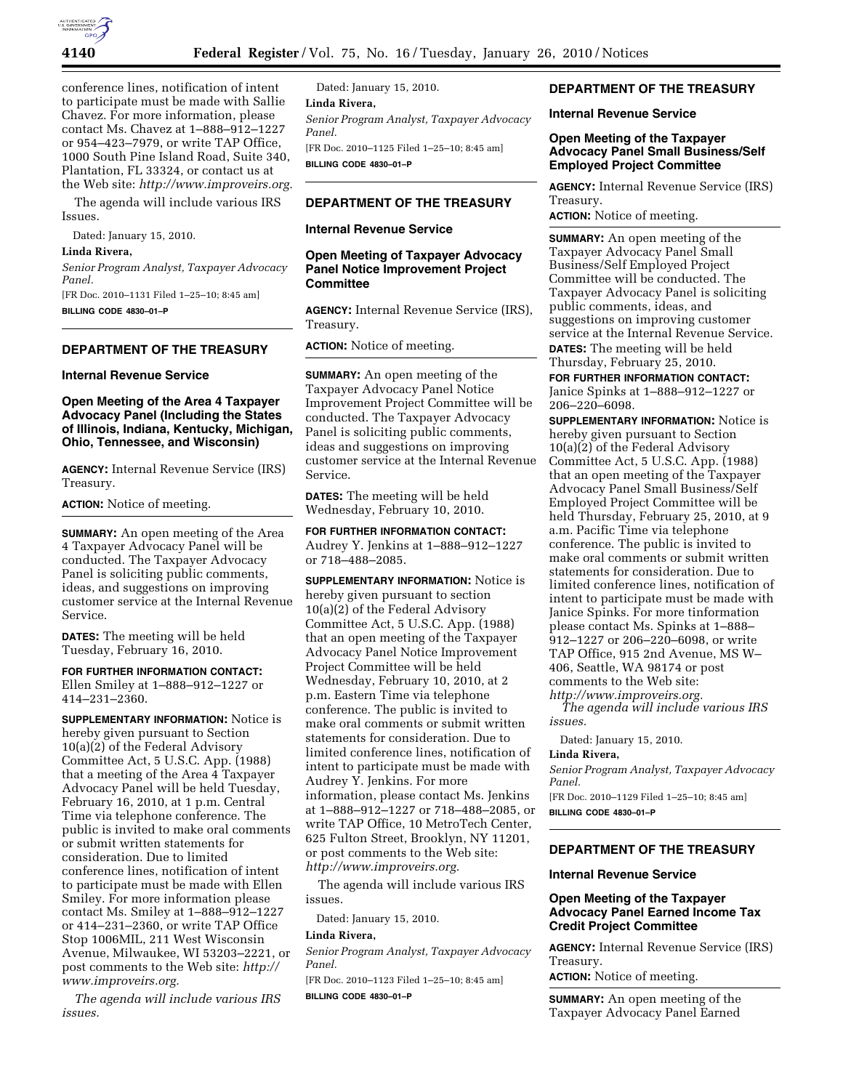

conference lines, notification of intent to participate must be made with Sallie Chavez. For more information, please contact Ms. Chavez at 1–888–912–1227 or 954–423–7979, or write TAP Office, 1000 South Pine Island Road, Suite 340, Plantation, FL 33324, or contact us at the Web site: *http://www.improveirs.org.* 

The agenda will include various IRS Issues.

Dated: January 15, 2010.

## **Linda Rivera,**

*Senior Program Analyst, Taxpayer Advocacy Panel.* 

[FR Doc. 2010–1131 Filed 1–25–10; 8:45 am] **BILLING CODE 4830–01–P** 

# **DEPARTMENT OF THE TREASURY**

#### **Internal Revenue Service**

# **Open Meeting of the Area 4 Taxpayer Advocacy Panel (Including the States of Illinois, Indiana, Kentucky, Michigan, Ohio, Tennessee, and Wisconsin)**

**AGENCY:** Internal Revenue Service (IRS) Treasury.

**ACTION:** Notice of meeting.

**SUMMARY:** An open meeting of the Area 4 Taxpayer Advocacy Panel will be conducted. The Taxpayer Advocacy Panel is soliciting public comments, ideas, and suggestions on improving customer service at the Internal Revenue Service.

**DATES:** The meeting will be held Tuesday, February 16, 2010.

**FOR FURTHER INFORMATION CONTACT:**  Ellen Smiley at 1–888–912–1227 or 414–231–2360.

**SUPPLEMENTARY INFORMATION:** Notice is hereby given pursuant to Section 10(a)(2) of the Federal Advisory Committee Act, 5 U.S.C. App. (1988) that a meeting of the Area 4 Taxpayer Advocacy Panel will be held Tuesday, February 16, 2010, at 1 p.m. Central Time via telephone conference. The public is invited to make oral comments or submit written statements for consideration. Due to limited conference lines, notification of intent to participate must be made with Ellen Smiley. For more information please contact Ms. Smiley at 1–888–912–1227 or 414–231–2360, or write TAP Office Stop 1006MIL, 211 West Wisconsin Avenue, Milwaukee, WI 53203–2221, or post comments to the Web site: *http:// www.improveirs.org.* 

*The agenda will include various IRS issues.* 

Dated: January 15, 2010. **Linda Rivera,**  *Senior Program Analyst, Taxpayer Advocacy Panel.*  [FR Doc. 2010–1125 Filed 1–25–10; 8:45 am] **BILLING CODE 4830–01–P** 

# **DEPARTMENT OF THE TREASURY**

### **Internal Revenue Service**

# **Open Meeting of Taxpayer Advocacy Panel Notice Improvement Project Committee**

**AGENCY:** Internal Revenue Service (IRS), Treasury.

**ACTION:** Notice of meeting.

**SUMMARY:** An open meeting of the Taxpayer Advocacy Panel Notice Improvement Project Committee will be conducted. The Taxpayer Advocacy Panel is soliciting public comments, ideas and suggestions on improving customer service at the Internal Revenue Service.

**DATES:** The meeting will be held Wednesday, February 10, 2010.

**FOR FURTHER INFORMATION CONTACT:**  Audrey Y. Jenkins at 1–888–912–1227 or 718–488–2085.

**SUPPLEMENTARY INFORMATION:** Notice is hereby given pursuant to section 10(a)(2) of the Federal Advisory Committee Act, 5 U.S.C. App. (1988) that an open meeting of the Taxpayer Advocacy Panel Notice Improvement Project Committee will be held Wednesday, February 10, 2010, at 2 p.m. Eastern Time via telephone conference. The public is invited to make oral comments or submit written statements for consideration. Due to limited conference lines, notification of intent to participate must be made with Audrey Y. Jenkins. For more information, please contact Ms. Jenkins at 1–888–912–1227 or 718–488–2085, or write TAP Office, 10 MetroTech Center, 625 Fulton Street, Brooklyn, NY 11201, or post comments to the Web site: *http://www.improveirs.org.* 

The agenda will include various IRS issues.

Dated: January 15, 2010.

#### **Linda Rivera,**

*Senior Program Analyst, Taxpayer Advocacy Panel.* 

[FR Doc. 2010–1123 Filed 1–25–10; 8:45 am] **BILLING CODE 4830–01–P** 

# **DEPARTMENT OF THE TREASURY**

# **Internal Revenue Service**

## **Open Meeting of the Taxpayer Advocacy Panel Small Business/Self Employed Project Committee**

**AGENCY:** Internal Revenue Service (IRS) Treasury.

**ACTION:** Notice of meeting.

**SUMMARY:** An open meeting of the Taxpayer Advocacy Panel Small Business/Self Employed Project Committee will be conducted. The Taxpayer Advocacy Panel is soliciting public comments, ideas, and suggestions on improving customer service at the Internal Revenue Service. **DATES:** The meeting will be held Thursday, February 25, 2010.

**FOR FURTHER INFORMATION CONTACT:**  Janice Spinks at 1–888–912–1227 or 206–220–6098.

**SUPPLEMENTARY INFORMATION:** Notice is hereby given pursuant to Section 10(a)(2) of the Federal Advisory Committee Act, 5 U.S.C. App. (1988) that an open meeting of the Taxpayer Advocacy Panel Small Business/Self Employed Project Committee will be held Thursday, February 25, 2010, at 9 a.m. Pacific Time via telephone conference. The public is invited to make oral comments or submit written statements for consideration. Due to limited conference lines, notification of intent to participate must be made with Janice Spinks. For more tinformation please contact Ms. Spinks at 1–888– 912–1227 or 206–220–6098, or write TAP Office, 915 2nd Avenue, MS W– 406, Seattle, WA 98174 or post comments to the Web site:

*http://www.improveirs.org.* 

*The agenda will include various IRS issues.* 

Dated: January 15, 2010.

### **Linda Rivera,**

*Senior Program Analyst, Taxpayer Advocacy Panel.* 

[FR Doc. 2010–1129 Filed 1–25–10; 8:45 am] **BILLING CODE 4830–01–P** 

# **DEPARTMENT OF THE TREASURY**

#### **Internal Revenue Service**

# **Open Meeting of the Taxpayer Advocacy Panel Earned Income Tax Credit Project Committee**

**AGENCY:** Internal Revenue Service (IRS) Treasury.

**ACTION:** Notice of meeting.

**SUMMARY:** An open meeting of the Taxpayer Advocacy Panel Earned